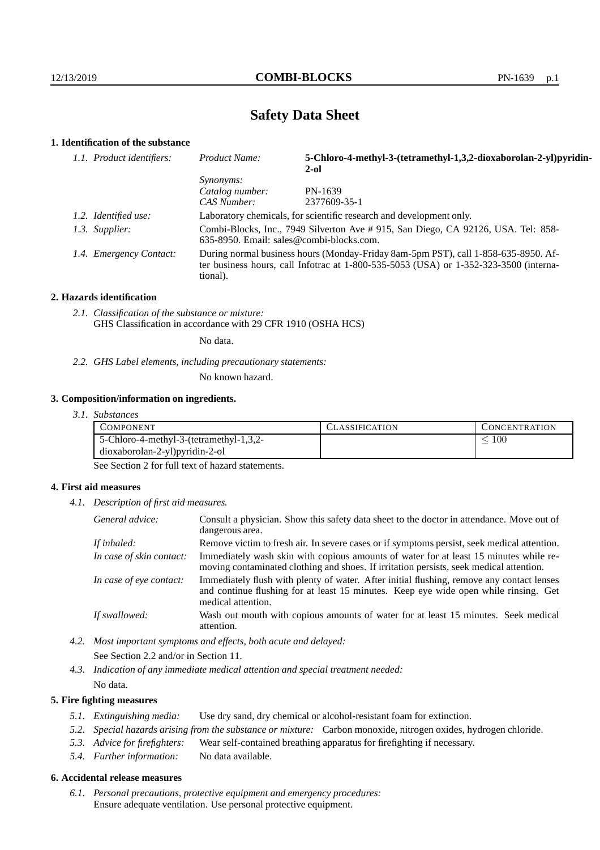# **Safety Data Sheet**

# **1. Identification of the substance**

| 1.1. Product identifiers: | Product Name:                                                                                                                                                                           | 5-Chloro-4-methyl-3-(tetramethyl-1,3,2-dioxaborolan-2-yl)pyridin-<br>$2-ol$ |  |
|---------------------------|-----------------------------------------------------------------------------------------------------------------------------------------------------------------------------------------|-----------------------------------------------------------------------------|--|
|                           | Synonyms:                                                                                                                                                                               |                                                                             |  |
|                           | Catalog number:<br>CAS Number:                                                                                                                                                          | PN-1639<br>2377609-35-1                                                     |  |
| 1.2. Identified use:      | Laboratory chemicals, for scientific research and development only.                                                                                                                     |                                                                             |  |
| 1.3. Supplier:            | Combi-Blocks, Inc., 7949 Silverton Ave # 915, San Diego, CA 92126, USA. Tel: 858-<br>$635-8950$ . Email: sales@combi-blocks.com.                                                        |                                                                             |  |
| 1.4. Emergency Contact:   | During normal business hours (Monday-Friday 8am-5pm PST), call 1-858-635-8950. Af-<br>ter business hours, call Infotrac at 1-800-535-5053 (USA) or 1-352-323-3500 (interna-<br>tional). |                                                                             |  |

#### **2. Hazards identification**

*2.1. Classification of the substance or mixture:* GHS Classification in accordance with 29 CFR 1910 (OSHA HCS)

No data.

## *2.2. GHS Label elements, including precautionary statements:*

No known hazard.

#### **3. Composition/information on ingredients.**

*3.1. Substances*

| COMPONENT                               | ' LASSIFICATION | <b>CONCENTRATION</b> |
|-----------------------------------------|-----------------|----------------------|
| 5-Chloro-4-methyl-3-(tetramethyl-1,3,2- |                 | 100                  |
| dioxaborolan-2-yl)pyridin-2-ol          |                 |                      |

See Section 2 for full text of hazard statements.

## **4. First aid measures**

*4.1. Description of first aid measures.*

| General advice:          | Consult a physician. Show this safety data sheet to the doctor in attendance. Move out of<br>dangerous area.                                                                                            |
|--------------------------|---------------------------------------------------------------------------------------------------------------------------------------------------------------------------------------------------------|
| If inhaled:              | Remove victim to fresh air. In severe cases or if symptoms persist, seek medical attention.                                                                                                             |
| In case of skin contact: | Immediately wash skin with copious amounts of water for at least 15 minutes while re-<br>moving contaminated clothing and shoes. If irritation persists, seek medical attention.                        |
| In case of eye contact:  | Immediately flush with plenty of water. After initial flushing, remove any contact lenses<br>and continue flushing for at least 15 minutes. Keep eye wide open while rinsing. Get<br>medical attention. |
| If swallowed:            | Wash out mouth with copious amounts of water for at least 15 minutes. Seek medical<br>attention.                                                                                                        |

*4.2. Most important symptoms and effects, both acute and delayed:* See Section 2.2 and/or in Section 11.

*4.3. Indication of any immediate medical attention and special treatment needed:* No data.

#### **5. Fire fighting measures**

- *5.1. Extinguishing media:* Use dry sand, dry chemical or alcohol-resistant foam for extinction.
- *5.2. Special hazards arising from the substance or mixture:* Carbon monoxide, nitrogen oxides, hydrogen chloride.
- *5.3. Advice for firefighters:* Wear self-contained breathing apparatus for firefighting if necessary.
- *5.4. Further information:* No data available.

# **6. Accidental release measures**

*6.1. Personal precautions, protective equipment and emergency procedures:* Ensure adequate ventilation. Use personal protective equipment.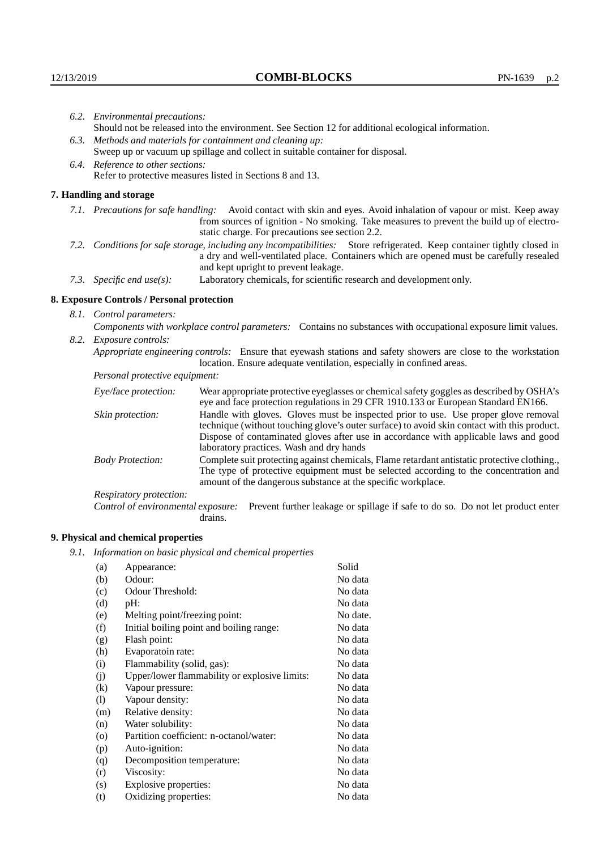| 6.2. Environmental precautions:                                                                               |                                                                                                                                                                                                                                                            |                                                                                                                                                                                                                                                                    |  |
|---------------------------------------------------------------------------------------------------------------|------------------------------------------------------------------------------------------------------------------------------------------------------------------------------------------------------------------------------------------------------------|--------------------------------------------------------------------------------------------------------------------------------------------------------------------------------------------------------------------------------------------------------------------|--|
|                                                                                                               | Should not be released into the environment. See Section 12 for additional ecological information.                                                                                                                                                         |                                                                                                                                                                                                                                                                    |  |
| 6.3. Methods and materials for containment and cleaning up:                                                   |                                                                                                                                                                                                                                                            |                                                                                                                                                                                                                                                                    |  |
|                                                                                                               | Sweep up or vacuum up spillage and collect in suitable container for disposal.                                                                                                                                                                             |                                                                                                                                                                                                                                                                    |  |
|                                                                                                               | 6.4. Reference to other sections:                                                                                                                                                                                                                          |                                                                                                                                                                                                                                                                    |  |
|                                                                                                               | Refer to protective measures listed in Sections 8 and 13.                                                                                                                                                                                                  |                                                                                                                                                                                                                                                                    |  |
|                                                                                                               | 7. Handling and storage                                                                                                                                                                                                                                    |                                                                                                                                                                                                                                                                    |  |
|                                                                                                               |                                                                                                                                                                                                                                                            | 7.1. Precautions for safe handling: Avoid contact with skin and eyes. Avoid inhalation of vapour or mist. Keep away<br>from sources of ignition - No smoking. Take measures to prevent the build up of electro-<br>static charge. For precautions see section 2.2. |  |
|                                                                                                               | 7.2. Conditions for safe storage, including any incompatibilities: Store refrigerated. Keep container tightly closed in<br>a dry and well-ventilated place. Containers which are opened must be carefully resealed<br>and kept upright to prevent leakage. |                                                                                                                                                                                                                                                                    |  |
|                                                                                                               | Laboratory chemicals, for scientific research and development only.<br>7.3. Specific end use(s):                                                                                                                                                           |                                                                                                                                                                                                                                                                    |  |
|                                                                                                               | 8. Exposure Controls / Personal protection                                                                                                                                                                                                                 |                                                                                                                                                                                                                                                                    |  |
|                                                                                                               | 8.1. Control parameters:                                                                                                                                                                                                                                   |                                                                                                                                                                                                                                                                    |  |
| Components with workplace control parameters: Contains no substances with occupational exposure limit values. |                                                                                                                                                                                                                                                            |                                                                                                                                                                                                                                                                    |  |
|                                                                                                               | 8.2. Exposure controls:                                                                                                                                                                                                                                    |                                                                                                                                                                                                                                                                    |  |
|                                                                                                               | Appropriate engineering controls: Ensure that eyewash stations and safety showers are close to the workstation<br>location. Ensure adequate ventilation, especially in confined areas.                                                                     |                                                                                                                                                                                                                                                                    |  |
|                                                                                                               | Personal protective equipment:                                                                                                                                                                                                                             |                                                                                                                                                                                                                                                                    |  |
|                                                                                                               | Eye/face protection:                                                                                                                                                                                                                                       | Wear appropriate protective eyeglasses or chemical safety goggles as described by OSHA's<br>eye and face protection regulations in 29 CFR 1910.133 or European Standard EN166.                                                                                     |  |
|                                                                                                               | Skin protection:                                                                                                                                                                                                                                           | Handle with gloves. Gloves must be inspected prior to use. Use proper glove removal<br>technique (without touching glove's outer surface) to avoid skin contact with this product.                                                                                 |  |

technique (without touching glove's outer surface) to avoid skin contact with this product. Dispose of contaminated gloves after use in accordance with applicable laws and good laboratory practices. Wash and dry hands Body Protection: Complete suit protecting against chemicals, Flame retardant antistatic protective clothing.,

The type of protective equipment must be selected according to the concentration and amount of the dangerous substance at the specific workplace.

Respiratory protection:

Control of environmental exposure: Prevent further leakage or spillage if safe to do so. Do not let product enter drains.

# **9. Physical and chemical properties**

*9.1. Information on basic physical and chemical properties*

| (a)      | Appearance:                                   | Solid    |
|----------|-----------------------------------------------|----------|
| (b)      | Odour:                                        | No data  |
| (c)      | Odour Threshold:                              | No data  |
| (d)      | $pH$ :                                        | No data  |
| (e)      | Melting point/freezing point:                 | No date. |
| (f)      | Initial boiling point and boiling range:      | No data  |
| (g)      | Flash point:                                  | No data  |
| (h)      | Evaporatoin rate:                             | No data  |
| (i)      | Flammability (solid, gas):                    | No data  |
| (i)      | Upper/lower flammability or explosive limits: | No data  |
| $\rm(k)$ | Vapour pressure:                              | No data  |
| (1)      | Vapour density:                               | No data  |
| (m)      | Relative density:                             | No data  |
| (n)      | Water solubility:                             | No data  |
| $\circ$  | Partition coefficient: n-octanol/water:       | No data  |
| (p)      | Auto-ignition:                                | No data  |
| (q)      | Decomposition temperature:                    | No data  |
| (r)      | Viscosity:                                    | No data  |
| (s)      | Explosive properties:                         | No data  |
| (t)      | Oxidizing properties:                         | No data  |
|          |                                               |          |